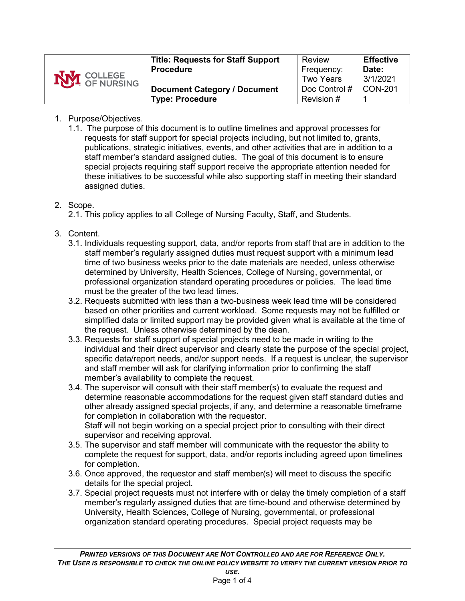| <b>NVI</b> COLLEGE | <b>Title: Requests for Staff Support</b><br><b>Procedure</b> | Review<br>Frequency:<br>Two Years | <b>Effective</b><br>Date:<br>3/1/2021 |
|--------------------|--------------------------------------------------------------|-----------------------------------|---------------------------------------|
|                    | <b>Document Category / Document</b>                          | Doc Control #                     | <b>CON-201</b>                        |
|                    | <b>Type: Procedure</b>                                       | Revision #                        |                                       |

## 1. Purpose/Objectives.

1.1. The purpose of this document is to outline timelines and approval processes for requests for staff support for special projects including, but not limited to, grants, publications, strategic initiatives, events, and other activities that are in addition to a staff member's standard assigned duties. The goal of this document is to ensure special projects requiring staff support receive the appropriate attention needed for these initiatives to be successful while also supporting staff in meeting their standard assigned duties.

## 2. Scope.

- 2.1. This policy applies to all College of Nursing Faculty, Staff, and Students.
- 3. Content.
	- 3.1. Individuals requesting support, data, and/or reports from staff that are in addition to the staff member's regularly assigned duties must request support with a minimum lead time of two business weeks prior to the date materials are needed, unless otherwise determined by University, Health Sciences, College of Nursing, governmental, or professional organization standard operating procedures or policies. The lead time must be the greater of the two lead times.
	- 3.2. Requests submitted with less than a two-business week lead time will be considered based on other priorities and current workload. Some requests may not be fulfilled or simplified data or limited support may be provided given what is available at the time of the request. Unless otherwise determined by the dean.
	- 3.3. Requests for staff support of special projects need to be made in writing to the individual and their direct supervisor and clearly state the purpose of the special project, specific data/report needs, and/or support needs. If a request is unclear, the supervisor and staff member will ask for clarifying information prior to confirming the staff member's availability to complete the request.
	- 3.4. The supervisor will consult with their staff member(s) to evaluate the request and determine reasonable accommodations for the request given staff standard duties and other already assigned special projects, if any, and determine a reasonable timeframe for completion in collaboration with the requestor. Staff will not begin working on a special project prior to consulting with their direct supervisor and receiving approval.
	- 3.5. The supervisor and staff member will communicate with the requestor the ability to complete the request for support, data, and/or reports including agreed upon timelines for completion.
	- 3.6. Once approved, the requestor and staff member(s) will meet to discuss the specific details for the special project.
	- 3.7. Special project requests must not interfere with or delay the timely completion of a staff member's regularly assigned duties that are time-bound and otherwise determined by University, Health Sciences, College of Nursing, governmental, or professional organization standard operating procedures. Special project requests may be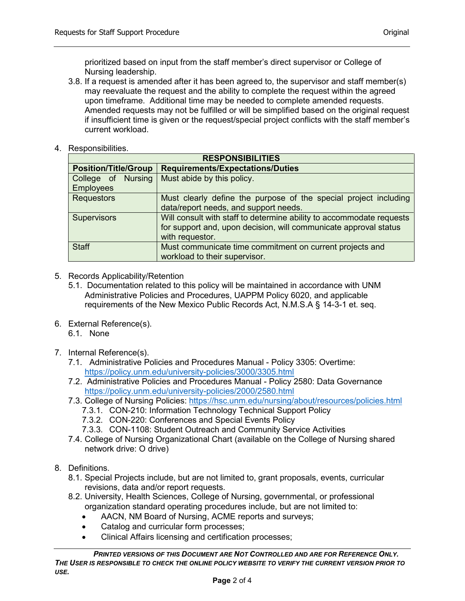prioritized based on input from the staff member's direct supervisor or College of Nursing leadership.

- 3.8. If a request is amended after it has been agreed to, the supervisor and staff member(s) may reevaluate the request and the ability to complete the request within the agreed upon timeframe. Additional time may be needed to complete amended requests. Amended requests may not be fulfilled or will be simplified based on the original request if insufficient time is given or the request/special project conflicts with the staff member's current workload.
- 4. Responsibilities.

| <b>RESPONSIBILITIES</b>                |                                                                                                                                                             |  |  |  |  |
|----------------------------------------|-------------------------------------------------------------------------------------------------------------------------------------------------------------|--|--|--|--|
| <b>Position/Title/Group</b>            | <b>Requirements/Expectations/Duties</b>                                                                                                                     |  |  |  |  |
| College of Nursing<br><b>Employees</b> | Must abide by this policy.                                                                                                                                  |  |  |  |  |
| <b>Requestors</b>                      | Must clearly define the purpose of the special project including<br>data/report needs, and support needs.                                                   |  |  |  |  |
| <b>Supervisors</b>                     | Will consult with staff to determine ability to accommodate requests<br>for support and, upon decision, will communicate approval status<br>with requestor. |  |  |  |  |
| <b>Staff</b>                           | Must communicate time commitment on current projects and<br>workload to their supervisor.                                                                   |  |  |  |  |

- 5. Records Applicability/Retention
	- 5.1. Documentation related to this policy will be maintained in accordance with UNM Administrative Policies and Procedures, UAPPM Policy 6020, and applicable requirements of the New Mexico Public Records Act, N.M.S.A § 14-3-1 et. seq.
- 6. External Reference(s).

6.1. None

- 7. Internal Reference(s).
	- 7.1. Administrative Policies and Procedures Manual Policy 3305: Overtime: <https://policy.unm.edu/university-policies/3000/3305.html>
	- 7.2. Administrative Policies and Procedures Manual Policy 2580: Data Governance <https://policy.unm.edu/university-policies/2000/2580.html>
	- 7.3. College of Nursing Policies: <https://hsc.unm.edu/nursing/about/resources/policies.html>
		- 7.3.1. CON-210: Information Technology Technical Support Policy
		- 7.3.2. CON-220: Conferences and Special Events Policy
		- 7.3.3. CON-1108: Student Outreach and Community Service Activities
	- 7.4. College of Nursing Organizational Chart (available on the College of Nursing shared network drive: O drive)
- 8. Definitions.
	- 8.1. Special Projects include, but are not limited to, grant proposals, events, curricular revisions, data and/or report requests.
	- 8.2. University, Health Sciences, College of Nursing, governmental, or professional organization standard operating procedures include, but are not limited to:
		- AACN, NM Board of Nursing, ACME reports and surveys;
		- Catalog and curricular form processes;
		- Clinical Affairs licensing and certification processes;

*PRINTED VERSIONS OF THIS DOCUMENT ARE NOT CONTROLLED AND ARE FOR REFERENCE ONLY. THE USER IS RESPONSIBLE TO CHECK THE ONLINE POLICY WEBSITE TO VERIFY THE CURRENT VERSION PRIOR TO USE.*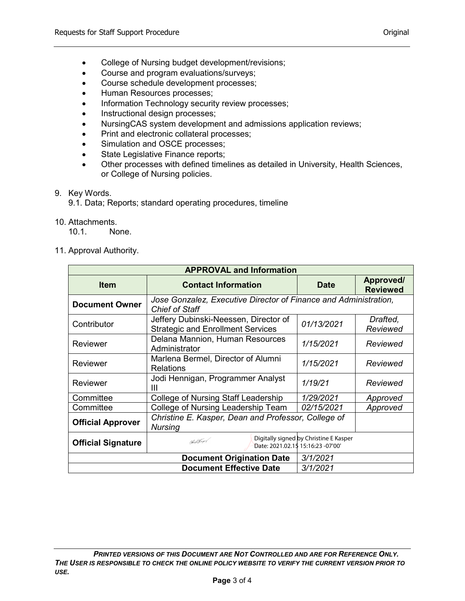- College of Nursing budget development/revisions;
- Course and program evaluations/surveys;
- Course schedule development processes;
- Human Resources processes;
- Information Technology security review processes;
- Instructional design processes;
- NursingCAS system development and admissions application reviews;
- Print and electronic collateral processes;
- Simulation and OSCE processes;
- State Legislative Finance reports;
- Other processes with defined timelines as detailed in University, Health Sciences, or College of Nursing policies.
- 9. Key Words.
	- 9.1. Data; Reports; standard operating procedures, timeline
- 10. Attachments.

10.1. None.

11. Approval Authority.

| <b>APPROVAL and Information</b>  |                                                                                           |             |                              |  |  |  |
|----------------------------------|-------------------------------------------------------------------------------------------|-------------|------------------------------|--|--|--|
| <b>Item</b>                      | <b>Contact Information</b>                                                                | <b>Date</b> | Approved/<br><b>Reviewed</b> |  |  |  |
| <b>Document Owner</b>            | Jose Gonzalez, Executive Director of Finance and Administration,<br><b>Chief of Staff</b> |             |                              |  |  |  |
| Contributor                      | Jeffery Dubinski-Neessen, Director of<br><b>Strategic and Enrollment Services</b>         | 01/13/2021  | Drafted,<br>Reviewed         |  |  |  |
| Reviewer                         | Delana Mannion, Human Resources<br>Administrator                                          | 1/15/2021   | Reviewed                     |  |  |  |
| Reviewer                         | Marlena Bermel, Director of Alumni<br><b>Relations</b>                                    | 1/15/2021   | Reviewed                     |  |  |  |
| Reviewer                         | Jodi Hennigan, Programmer Analyst<br>Ш                                                    | 1/19/21     | Reviewed                     |  |  |  |
| Committee                        | College of Nursing Staff Leadership                                                       | 1/29/2021   | Approved                     |  |  |  |
| Committee                        | College of Nursing Leadership Team<br>02/15/2021                                          |             | Approved                     |  |  |  |
| <b>Official Approver</b>         | Christine E. Kasper, Dean and Professor, College of<br><b>Nursing</b>                     |             |                              |  |  |  |
| <b>Official Signature</b>        | Digitally signed by Christine E Kasper<br>Nother<br>Date: 2021.02.15 15:16:23 -07'00'     |             |                              |  |  |  |
| <b>Document Origination Date</b> |                                                                                           | 3/1/2021    |                              |  |  |  |
|                                  | 3/1/2021                                                                                  |             |                              |  |  |  |

*PRINTED VERSIONS OF THIS DOCUMENT ARE NOT CONTROLLED AND ARE FOR REFERENCE ONLY. THE USER IS RESPONSIBLE TO CHECK THE ONLINE POLICY WEBSITE TO VERIFY THE CURRENT VERSION PRIOR TO USE.*